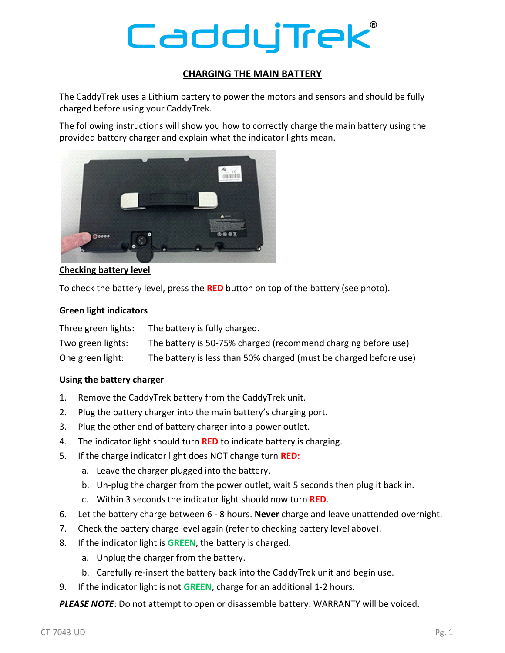# CadduTrek

# **CHARGING THE MAIN BATTERY**

The CaddyTrek uses a Lithium battery to power the motors and sensors and should be fully charged before using your CaddyTrek.

The following instructions will show you how to correctly charge the main battery using the provided battery charger and explain what the indicator lights mean.



## **Checking battery level**

To check the battery level, press the **RED** button on top of the battery (see photo).

#### **Green light indicators**

| Three green lights: | The battery is fully charged.                                     |
|---------------------|-------------------------------------------------------------------|
| Two green lights:   | The battery is 50-75% charged (recommend charging before use)     |
| One green light:    | The battery is less than 50% charged (must be charged before use) |

### **Using the battery charger**

- 1. Remove the CaddyTrek battery from the CaddyTrek unit.
- 2. Plug the battery charger into the main battery's charging port.
- 3. Plug the other end of battery charger into a power outlet.
- 4. The indicator light should turn **RED** to indicate battery is charging.
- 5. If the charge indicator light does NOT change turn **RED:**
	- a. Leave the charger plugged into the battery.
	- b. Un-plug the charger from the power outlet, wait 5 seconds then plug it back in.
	- c. Within 3 seconds the indicator light should now turn **RED**.
- 6. Let the battery charge between 6 8 hours. **Never** charge and leave unattended overnight.
- 7. Check the battery charge level again (refer to checking battery level above).
- 8. If the indicator light is **GREEN**, the battery is charged.
	- a. Unplug the charger from the battery.
	- b. Carefully re-insert the battery back into the CaddyTrek unit and begin use.
- 9. If the indicator light is not **GREEN**, charge for an additional 1-2 hours.

*PLEASE NOTE*: Do not attempt to open or disassemble battery. WARRANTY will be voiced.